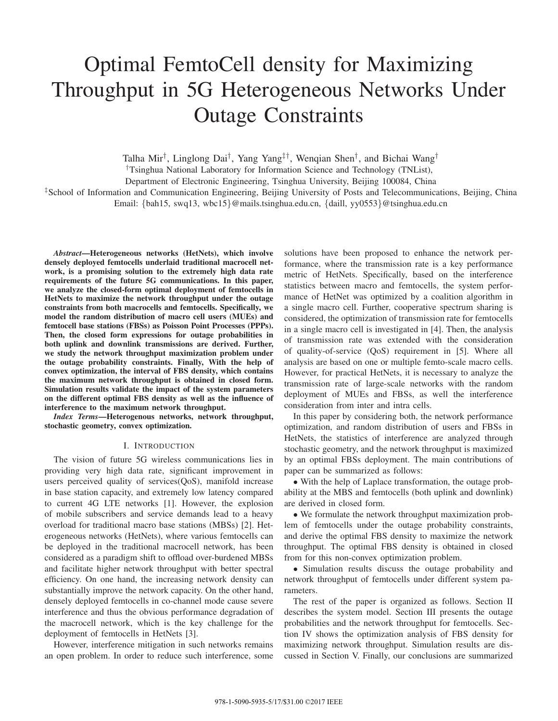# Optimal FemtoCell density for Maximizing Throughput in 5G Heterogeneous Networks Under Outage Constraints

Talha Mir†, Linglong Dai†, Yang Yang‡†, Wenqian Shen†, and Bichai Wang†

†Tsinghua National Laboratory for Information Science and Technology (TNList),

Department of Electronic Engineering, Tsinghua University, Beijing 100084, China

‡School of Information and Communication Engineering, Beijing University of Posts and Telecommunications, Beijing, China Email: {bah15, swq13, wbc15}@mails.tsinghua.edu.cn, {daill, yy0553}@tsinghua.edu.cn

*Abstract***—Heterogeneous networks (HetNets), which involve densely deployed femtocells underlaid traditional macrocell network, is a promising solution to the extremely high data rate requirements of the future 5G communications. In this paper, we analyze the closed-form optimal deployment of femtocells in HetNets to maximize the network throughput under the outage constraints from both macrocells and femtocells. Specifically, we model the random distribution of macro cell users (MUEs) and femtocell base stations (FBSs) as Poisson Point Processes (PPPs). Then, the closed form expressions for outage probabilities in both uplink and downlink transmissions are derived. Further, we study the network throughput maximization problem under the outage probability constraints. Finally, With the help of convex optimization, the interval of FBS density, which contains the maximum network throughput is obtained in closed form. Simulation results validate the impact of the system parameters on the different optimal FBS density as well as the influence of interference to the maximum network throughput.**

*Index Terms***—Heterogenous networks, network throughput, stochastic geometry, convex optimization.**

# I. INTRODUCTION

The vision of future 5G wireless communications lies in providing very high data rate, significant improvement in users perceived quality of services(QoS), manifold increase in base station capacity, and extremely low latency compared to current 4G LTE networks [1]. However, the explosion of mobile subscribers and service demands lead to a heavy overload for traditional macro base stations (MBSs) [2]. Heterogeneous networks (HetNets), where various femtocells can be deployed in the traditional macrocell network, has been considered as a paradigm shift to offload over-burdened MBSs and facilitate higher network throughput with better spectral efficiency. On one hand, the increasing network density can substantially improve the network capacity. On the other hand, densely deployed femtocells in co-channel mode cause severe interference and thus the obvious performance degradation of the macrocell network, which is the key challenge for the deployment of femtocells in HetNets [3].

However, interference mitigation in such networks remains an open problem. In order to reduce such interference, some solutions have been proposed to enhance the network performance, where the transmission rate is a key performance metric of HetNets. Specifically, based on the interference statistics between macro and femtocells, the system performance of HetNet was optimized by a coalition algorithm in a single macro cell. Further, cooperative spectrum sharing is considered, the optimization of transmission rate for femtocells in a single macro cell is investigated in [4]. Then, the analysis of transmission rate was extended with the consideration of quality-of-service (QoS) requirement in [5]. Where all analysis are based on one or multiple femto-scale macro cells. However, for practical HetNets, it is necessary to analyze the transmission rate of large-scale networks with the random deployment of MUEs and FBSs, as well the interference consideration from inter and intra cells.

In this paper by considering both, the network performance optimization, and random distribution of users and FBSs in HetNets, the statistics of interference are analyzed through stochastic geometry, and the network throughput is maximized by an optimal FBSs deployment. The main contributions of paper can be summarized as follows:

∙ With the help of Laplace transformation, the outage probability at the MBS and femtocells (both uplink and downlink) are derived in closed form.

∙ We formulate the network throughput maximization problem of femtocells under the outage probability constraints, and derive the optimal FBS density to maximize the network throughput. The optimal FBS density is obtained in closed from for this non-convex optimization problem.

∙ Simulation results discuss the outage probability and network throughput of femtocells under different system parameters.

The rest of the paper is organized as follows. Section II describes the system model. Section III presents the outage probabilities and the network throughput for femtocells. Section IV shows the optimization analysis of FBS density for maximizing network throughput. Simulation results are discussed in Section V. Finally, our conclusions are summarized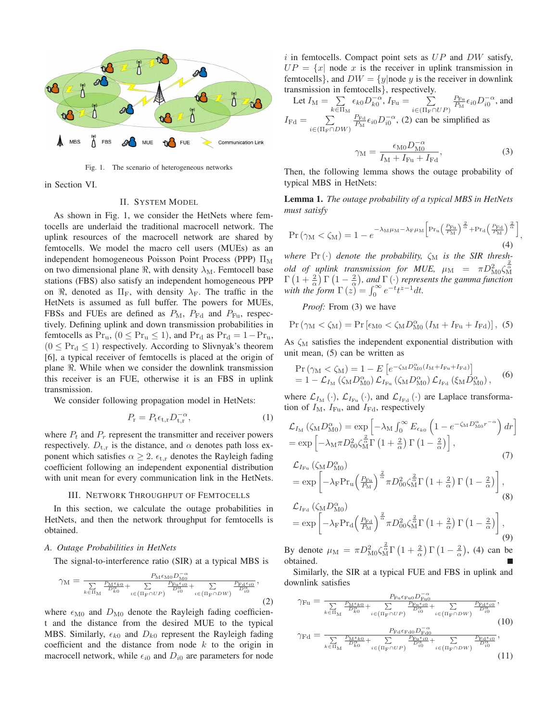

Fig. 1. The scenario of heterogeneous networks

in Section VI.

# II. SYSTEM MODEL

As shown in Fig. 1, we consider the HetNets where femtocells are underlaid the traditional macrocell network. The uplink resources of the macrocell network are shared by femtocells. We model the macro cell users (MUEs) as an independent homogeneous Poisson Point Process (PPP)  $\Pi_M$ on two dimensional plane  $\Re$ , with density  $\lambda_M$ . Femtocell base stations (FBS) also satisfy an independent homogeneous PPP on  $\Re$ , denoted as  $\Pi_F$ , with density  $\lambda_F$ . The traffic in the HetNets is assumed as full buffer. The powers for MUEs, FBSs and FUEs are defined as  $P_M$ ,  $P_{\text{Fd}}$  and  $P_{\text{Fu}}$ , respectively. Defining uplink and down transmission probabilities in femtocells as  $Pr_u$ ,  $(0 \leq Pr_u \leq 1)$ , and  $Pr_d$  as  $Pr_d = 1 - Pr_u$ ,  $(0 \leq Pr_d \leq 1)$  respectively. According to Slivnyak's theorem [6], a typical receiver of femtocells is placed at the origin of plane ℜ. While when we consider the downlink transmission this receiver is an FUE, otherwise it is an FBS in uplink transmission.

We consider following propagation model in HetNets:

$$
P_{\mathbf{r}} = P_{\mathbf{t}} \epsilon_{\mathbf{t},\mathbf{r}} D_{\mathbf{t},\mathbf{r}}^{-\alpha},\tag{1}
$$

where  $P_t$  and  $P_r$  represent the transmitter and receiver powers respectively.  $D_{t,r}$  is the distance, and  $\alpha$  denotes path loss exponent which satisfies  $\alpha \geq 2$ .  $\epsilon_{t,r}$  denotes the Rayleigh fading coefficient following an independent exponential distribution with unit mean for every communication link in the HetNets.

## III. NETWORK THROUGHPUT OF FEMTOCELLS

In this section, we calculate the outage probabilities in HetNets, and then the network throughput for femtocells is obtained.

### *A. Outage Probabilities in HetNets*

The signal-to-interference ratio (SIR) at a typical MBS is

$$
\gamma_{\mathrm{M}} = \frac{P_{\mathrm{M}} \epsilon_{\mathrm{M0}} D_{\mathrm{M0}}^{-\alpha}}{\sum\limits_{k \in \Pi_{\mathrm{M}}} \frac{P_{\mathrm{M}} \epsilon_{k0}}{D_{k0}^{\alpha}} + \sum\limits_{i \in (\Pi_{\mathrm{F}} \cap UP)} \frac{P_{\mathrm{Fu}} \epsilon_{i0}}{D_{i0}^{\alpha}} + \sum\limits_{i \in (\Pi_{\mathrm{F}} \cap DW)} \frac{P_{\mathrm{Fd}} \epsilon_{i0}}{D_{i0}^{\alpha}}},\tag{2}
$$

where  $\epsilon_{\text{M0}}$  and  $D_{\text{M0}}$  denote the Rayleigh fading coefficient and the distance from the desired MUE to the typical MBS. Similarly,  $\epsilon_{k0}$  and  $D_{k0}$  represent the Rayleigh fading coefficient and the distance from node  $k$  to the origin in macrocell network, while  $\epsilon_{i0}$  and  $D_{i0}$  are parameters for node i in femtocells. Compact point sets as  $UP$  and  $DW$  satisfy,  $UP = \{x \mid \text{node } x \text{ is the receiver in uplink transmission in }\}$ femtocells}, and  $DW = \{y \mid \text{node } y \text{ is the receiver in downlink}\}$ transmission in femtocells}, respectively.

Let 
$$
I_M = \sum_{k \in \Pi_M} \epsilon_{k0} D_{k0}^{-\alpha}
$$
,  $I_{Fu} = \sum_{i \in (\Pi_F \cap UP)} \frac{P_{Fu}}{P_M} \epsilon_{i0} D_{i0}^{-\alpha}$ , and  
\n $I_{Fd} = \sum_{i \in (\Pi_F \cap DW)} \frac{P_{Fd}}{P_M} \epsilon_{i0} D_{i0}^{-\alpha}$ , (2) can be simplified as

$$
\gamma_{\rm M} = \frac{\epsilon_{\rm M0} D_{\rm M0}^{-\alpha}}{I_{\rm M} + I_{\rm Fu} + I_{\rm Fd}},\tag{3}
$$

Then, the following lemma shows the outage probability of typical MBS in HetNets:

**Lemma 1.** *The outage probability of a typical MBS in HetNets must satisfy*

$$
\Pr\left(\gamma_{\mathrm{M}} < \zeta_{\mathrm{M}}\right) = 1 - e^{-\lambda_{\mathrm{M}}\mu_{\mathrm{M}} - \lambda_{\mathrm{F}}\mu_{\mathrm{M}} \left[\Pr_{\mathrm{u}}\left(\frac{P_{\mathrm{Fu}}}{P_{\mathrm{M}}}\right)^{\frac{2}{\alpha}} + \Pr_{\mathrm{d}}\left(\frac{P_{\mathrm{Fd}}}{P_{\mathrm{M}}}\right)^{\frac{2}{\alpha}}\right]},\tag{4}
$$

*where*  $Pr(\cdot)$  *denote the probability,*  $\zeta_M$  *is the SIR thresh*old of uplink transmission for MUE,  $\mu_M = \pi D_{\rm MO}^2 \zeta_{\rm M}^{\frac{2}{\alpha}}$  $\Gamma\left(1+\frac{2}{\alpha}\right)\Gamma\left(1-\frac{2}{\alpha}\right)$ , and  $\Gamma\left(\cdot\right)$  represents the gamma function *with the form*  $\Gamma(z) = \int_0^\infty e^{-t} t^{z-1} dt$ .

*Proof:* From (3) we have

$$
\Pr\left(\gamma_{\mathrm{M}} < \zeta_{\mathrm{M}}\right) = \Pr\left[\epsilon_{\mathrm{M}0} < \zeta_{\mathrm{M}} D_{\mathrm{M}0}^{\alpha} \left(I_{\mathrm{M}} + I_{\mathrm{Fu}} + I_{\mathrm{Fd}}\right)\right], \tag{5}
$$

As  $\zeta_M$  satisfies the independent exponential distribution with unit mean, (5) can be written as

$$
\Pr(\gamma_{\rm M} < \zeta_{\rm M}) = 1 - E\left[e^{-\zeta_{\rm M}D_{\rm M0}^{\alpha}(I_{\rm M} + I_{\rm Fu} + I_{\rm Fa})}\right] \n= 1 - \mathcal{L}_{I_{\rm M}}\left(\zeta_{\rm M}D_{\rm M0}^{\alpha}\right)\mathcal{L}_{I_{\rm Fu}}\left(\zeta_{\rm M}D_{\rm M0}^{\alpha}\right)\mathcal{L}_{I_{\rm Fa}}\left(\xi_{\rm M}D_{\rm M0}^{\alpha}\right),
$$
\n(6)

where  $\mathcal{L}_{I_{\mathrm{M}}}(\cdot)$ ,  $\mathcal{L}_{I_{\mathrm{Fu}}}(\cdot)$ , and  $\mathcal{L}_{I_{\mathrm{Fd}}}(\cdot)$  are Laplace transformation of  $I_M$ ,  $I_{\text{Fu}}$ , and  $I_{\text{Fd}}$ , respectively

$$
\mathcal{L}_{I_{\mathrm{M}}}(\zeta_{\mathrm{M}}D_{\mathrm{M0}}^{\alpha}) = \exp\left[-\lambda_{\mathrm{M}} \int_{0}^{\infty} E_{\epsilon_{k0}} \left(1 - e^{-\zeta_{\mathrm{M}}D_{\mathrm{M0}}^{\alpha}r^{-\alpha}}\right) dr\right]
$$
\n
$$
= \exp\left[-\lambda_{\mathrm{M}} \pi D_{00}^{2} \zeta_{\mathrm{M}}^{\frac{2}{\alpha}} \Gamma\left(1 + \frac{2}{\alpha}\right) \Gamma\left(1 - \frac{2}{\alpha}\right)\right],
$$
\n
$$
\mathcal{L}_{I_{\mathrm{Fu}}}(\zeta_{\mathrm{M}}D_{\mathrm{M0}}^{\alpha})
$$
\n
$$
= \exp\left[-\lambda_{\mathrm{F}} \mathrm{Pr}_{\mathrm{u}}\left(\frac{P_{\mathrm{Fu}}}{P_{\mathrm{M}}}\right)^{\frac{2}{\alpha}} \pi D_{00}^{2} \zeta_{\mathrm{M}}^{\frac{2}{\alpha}} \Gamma\left(1 + \frac{2}{\alpha}\right) \Gamma\left(1 - \frac{2}{\alpha}\right)\right],
$$
\n
$$
\mathcal{L}_{I_{\mathrm{Fd}}}(\zeta_{\mathrm{M}}D_{\mathrm{M0}}^{\alpha})
$$
\n(8)

$$
= \exp\left[-\lambda_{\rm F} \Pr_{\rm d}\left(\frac{P_{\rm Fd}}{P_{\rm M}}\right)^{\frac{2}{\alpha}} \pi D_{00}^2 \zeta_{\rm M}^{\frac{2}{\alpha}} \Gamma\left(1+\frac{2}{\alpha}\right) \Gamma\left(1-\frac{2}{\alpha}\right)\right],\tag{9}
$$

By denote  $\mu_M = \pi D_{\text{MO}}^2 \zeta_M^{\frac{1}{\alpha}} \Gamma\left(1 + \frac{2}{\alpha}\right) \Gamma\left(1 - \frac{2}{\alpha}\right)$ , (4) can be obtained.

Similarly, the SIR at a typical FUE and FBS in uplink and downlink satisfies

$$
\gamma_{\rm Fu} = \frac{P_{\rm Fu} \epsilon_{\rm Fu0} D_{\rm Fu0}^{-\alpha}}{\sum_{k \in \Pi_{\rm M}} \frac{P_{\rm M} \epsilon_{k0}}{D_{k0}^{\alpha}} + \sum_{i \in (\Pi_{\rm F} \cap UP)} \frac{P_{\rm Fu} \epsilon_{i0}}{D_{i0}^{\alpha}} + \sum_{i \in (\Pi_{\rm F} \cap DW)} \frac{P_{\rm Fd} \epsilon_{i0}}{D_{i0}^{\alpha}}},\tag{10}
$$
\n
$$
\gamma_{\rm Fd} = \frac{P_{\rm M} \epsilon_{k0}}{\sum_{k \in \Pi_{\rm M}} \frac{P_{\rm M} \epsilon_{k0}}{D_{k0}^{\alpha}} + \sum_{i \in (\Pi_{\rm F} \cap UP)} \frac{P_{\rm Fd} \epsilon_{i0}}{D_{i0}^{\alpha}} + \sum_{i \in (\Pi_{\rm F} \cap DW)} \frac{P_{\rm Fd} \epsilon_{i0}}{D_{i0}^{\alpha}}},\tag{11}
$$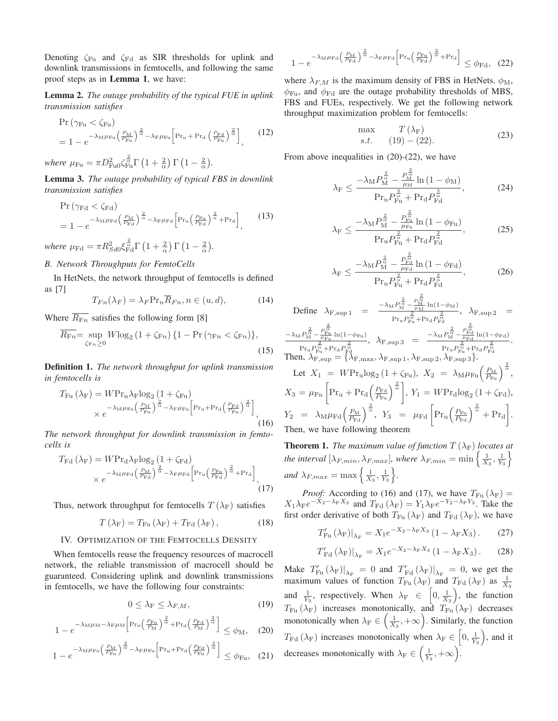Denoting  $\zeta_{\text{Fu}}$  and  $\zeta_{\text{Fd}}$  as SIR thresholds for uplink and downlink transmissions in femtocells, and following the same proof steps as in **Lemma 1**, we have:

**Lemma 2.** *The outage probability of the typical FUE in uplink transmission satisfies*

$$
\Pr\left(\gamma_{\text{Fu}} < \zeta_{\text{Fu}}\right) \\
= 1 - e^{-\lambda_M \mu_{\text{Fu}} \left(\frac{P_M}{P_{\text{Fu}}}\right)^{\frac{2}{\alpha}} - \lambda_{\text{F}} \mu_{\text{Fu}} \left[\text{Pr}_u + \text{Pr}_d \left(\frac{P_{\text{Fd}}}{P_{\text{Fu}}}\right)^{\frac{2}{\alpha}}\right]},\n\tag{12}
$$

where  $\mu_{\rm Fu} = \pi D_{\rm Fu0}^2 \zeta_{\rm Fu}^{\frac{2}{\alpha}} \Gamma\left(1+\frac{2}{\alpha}\right) \Gamma\left(1-\frac{2}{\alpha}\right)$ .

**Lemma 3.** *The outage probability of typical FBS in downlink transmission satisfies*

$$
\Pr\left(\gamma_{\text{Fd}} < \zeta_{\text{Fd}}\right) \\
= 1 - e^{-\lambda_M \mu_{\text{Fd}} \left(\frac{P_M}{P_{\text{Fd}}}\right)^{\frac{2}{\alpha}} - \lambda_{\text{F}} \mu_{\text{Fd}} \left[\Pr_u\left(\frac{P_{\text{Fu}}}{P_{\text{Fd}}}\right)^{\frac{2}{\alpha}} + \Pr_d\right]},\n\tag{13}
$$

where  $\mu_{\text{Fd}} = \pi R_{Sd0}^2 \xi_{\text{Fd}}^{\frac{2}{\alpha}} \Gamma\left(1 + \frac{2}{\alpha}\right) \Gamma\left(1 - \frac{2}{\alpha}\right)$ .

# *B. Network Throughputs for FemtoCells*

In HetNets, the network throughput of femtocells is defined as [7]

$$
T_{Fn}(\lambda_F) = \lambda_F \Pr_n R_{Fn}, n \in (u, d), \tag{14}
$$

Where  $\overline{R_{\text{F}_n}}$  satisfies the following form [8]

$$
\overline{R_{\text{Fr}}} = \sup_{\zeta_{\text{Fr}}} W \log_2 \left( 1 + \zeta_{\text{Fr}} \right) \{ 1 - \Pr \left( \gamma_{\text{Fr}} < \zeta_{\text{Fr}} \right) \},\tag{15}
$$

**Definition 1.** *The network throughput for uplink transmission in femtocells is*

$$
T_{\text{Fu}}\left(\lambda_{\text{F}}\right) = W P r_{\text{u}} \lambda_{\text{F}} \log_2\left(1 + \zeta_{\text{Fu}}\right) \times e^{-\lambda_{\text{M}} \mu_{\text{Fu}} \left(\frac{P_{\text{M}}}{P_{\text{Fu}}}\right)^{\frac{2}{\alpha}} - \lambda_{\text{F}} \mu_{\text{Fu}} \left[\text{Pr}_{\text{u}} + \text{Pr}_{\text{d}} \left(\frac{P_{\text{Fd}}}{P_{\text{Fu}}}\right)^{\frac{2}{\alpha}}\right]},
$$
\n(16)

*The network throughput for downlink transmission in femtocells is*

$$
T_{\rm Fd}(\lambda_{\rm F}) = W{\rm Pr}_{\rm d}\lambda_{\rm F}\log_2\left(1 + \zeta_{\rm Fd}\right)
$$

$$
\times e^{-\lambda_{\rm M}\mu_{\rm Fd}\left(\frac{P_{\rm M}}{P_{\rm Fd}}\right)^{\frac{2}{\alpha}} - \lambda_{\rm F}\mu_{\rm Fd}\left[\Pr_{\rm u}\left(\frac{P_{\rm Fu}}{P_{\rm Fd}}\right)^{\frac{2}{\alpha}} + \Pr_{\rm d}\right]},
$$
(17)

Thus, network throughput for femtocells  $T(\lambda_F)$  satisfies

$$
T\left(\lambda_{\mathrm{F}}\right) = T_{\mathrm{Fu}}\left(\lambda_{\mathrm{F}}\right) + T_{\mathrm{Fd}}\left(\lambda_{\mathrm{F}}\right),\tag{18}
$$

### IV. OPTIMIZATION OF THE FEMTOCELLS DENSITY

When femtocells reuse the frequency resources of macrocell network, the reliable transmission of macrocell should be guaranteed. Considering uplink and downlink transmissions in femtocells, we have the following four constraints:

$$
0 \le \lambda_{\mathcal{F}} \le \lambda_{F,M},\tag{19}
$$

$$
1 - e^{-\lambda_M \mu_M - \lambda_F \mu_M \left[ Pr_u \left( \frac{P_{\text{Eu}}}{P_M} \right)^{\frac{2}{\alpha}} + Pr_d \left( \frac{P_{\text{Ed}}}{P_M} \right)^{\frac{2}{\alpha}} \right]} \le \phi_M, \quad (20)
$$

$$
1 - e^{-\lambda_M \mu_{\text{Fu}} \left(\frac{P_M}{P_{\text{Fu}}}\right)^{\frac{2}{\alpha}} - \lambda_{\text{F}} \mu_{\text{Fu}} \left[\Pr_u + \Pr_d \left(\frac{P_{\text{Fd}}}{P_{\text{Fu}}}\right)^{\frac{2}{\alpha}}\right]} \le \phi_{\text{Fu}}, \quad (21)
$$

$$
1 - e^{-\lambda_M \mu_{\rm Fd} \left(\frac{P_{\rm M}}{P_{\rm Fd}}\right)^{\frac{2}{\alpha}} - \lambda_{\rm F} \mu_{\rm Fd} \left[\Pr_u \left(\frac{P_{\rm Fu}}{P_{\rm Fd}}\right)^{\frac{2}{\alpha}} + \Pr_d\right]} \le \phi_{\rm Fd}, \tag{22}
$$

where  $\lambda_{F,M}$  is the maximum density of FBS in HetNets.  $\phi_M$ ,  $\phi_{\text{Fu}}$ , and  $\phi_{\text{Fd}}$  are the outage probability thresholds of MBS, FBS and FUEs, respectively. We get the following network throughput maximization problem for femtocells:

$$
\begin{array}{ll}\n\max & T(\lambda_F) \\
s.t. & (19) - (22).\n\end{array} \n\tag{23}
$$

From above inequalities in  $(20)-(22)$ , we have

$$
\lambda_{\rm F} \le \frac{-\lambda_{\rm M} P_{\rm M}^{\frac{2}{\alpha}} - \frac{P_{\rm M}^{\frac{2}{\alpha}}}{\mu_{\rm M}} \ln\left(1 - \phi_{\rm M}\right)}{\Pr_{\rm u} P_{\rm Fu}^{\frac{2}{\alpha}} + \Pr_{\rm d} P_{\rm Fd}^{\frac{2}{\alpha}}},\tag{24}
$$

$$
\lambda_{\rm F} \le \frac{-\lambda_{\rm M} P_{\rm M}^{\frac{2}{\alpha}} - \frac{P_{\rm Fu}^{\frac{2}{\alpha}}}{\mu_{\rm Fu} P_{\rm Hu}^{\frac{2}{\alpha}} + \Pr_{\rm d} P_{\rm Fd}^{\frac{2}{\alpha}}},\tag{25}
$$

$$
\lambda_{\rm F} \le \frac{-\lambda_{\rm M} P_{\rm M}^{\frac{2}{\alpha}} - \frac{P_{\rm Fd}^{\frac{2}{\alpha}}}{\mu_{\rm Fd}} \ln\left(1 - \phi_{\rm Fd}\right)}{\Pr_{\rm u} P_{\rm Fu}^{\frac{2}{\alpha}} + \Pr_{\rm d} P_{\rm Fd}^{\frac{2}{\alpha}}},\tag{26}
$$

2

Define 
$$
\lambda_{F, sup 1} = \frac{-\lambda_M P_M^{\frac{2}{\alpha}} - \frac{P_M^{\frac{2}{\alpha}}}{P_M} \ln(1 - \phi_M)}{P_{ru} P_{ru}^{\frac{2}{\alpha}} + P_{ru} P_{ru}^{\frac{2}{\alpha}}}
$$
,  $\lambda_{F, sup 2} = \frac{-\lambda_M P_M^{\frac{2}{\alpha}} - \frac{P_{ru}^{\frac{2}{\alpha}}}{P_{ru}^{\frac{2}{\alpha}} + P_{ru} P_{ru}^{\frac{2}{\alpha}}}$ ,  $\lambda_{F, sup 3} = \frac{-\lambda_M P_M^{\frac{2}{\alpha}} - \frac{P_{ru}^{\frac{2}{\alpha}}}{P_{ru}^{\frac{2}{\alpha}} + P_{ru} P_{ru}^{\frac{2}{\alpha}}}$ .  
\nThen,  $\lambda_{F, sup} = \{\lambda_{F, max}, \lambda_{F, sup 1}, \lambda_{F, sup 2}, \lambda_{F, sup 3}\}$ .  
\nLet  $X_1 = W Pr_u \log_2 (1 + \zeta_{Fu})$ ,  $X_2 = \lambda_M \mu_{Fu} (\frac{P_M}{P_{ru}})^{\frac{2}{\alpha}}$ ,  $X_3 = \mu_{Fu} \left[ Pr_u + Pr_d (\frac{P_{ru}}{P_{ru}})^{\frac{2}{\alpha}} \right]$ ,  $Y_1 = W Pr_d \log_2 (1 + \zeta_{FA})$ ,  $Y_2 = \lambda_M \mu_{Fu} (\frac{P_{ru}}{P_{ru}})^{\frac{2}{\alpha}}$ ,  $Y_3 = \mu_{Fd} \left[ Pr_u (\frac{P_{ru}}{P_{ru}})^{\frac{2}{\alpha}} + Pr_d \right]$ .  
\nThen, we have following theorem

**Theorem 1.** *The maximum value of function*  $T(\lambda_F)$  *locates at the interval*  $[\lambda_{F,min}, \lambda_{F,max}]$ , where  $\lambda_{F,min} = \min \left\{ \frac{1}{X_3}, \frac{1}{Y_3} \right\}$ *and*  $\lambda_{F,max} = \max\left\{\frac{1}{X_3}, \frac{1}{Y_3}\right\}$ .

*Proof:* According to (16) and (17), we have  $T_{\text{Fu}}(\lambda_F) =$  $X_1\lambda_{\rm F}e^{-X_2-\lambda_{\rm F}X_3}$  and  $T_{\rm Fd}(\lambda_{\rm F})=Y_1\lambda_{\rm F}e^{-Y_2-\lambda_{\rm F}Y_3}$ . Take the first order derivative of both  $T_{\text{Fu}}(\lambda_{\text{F}})$  and  $T_{\text{Fd}}(\lambda_{\text{F}})$ , we have

$$
T'_{\text{Fu}}(\lambda_{\text{F}})|_{\lambda_{\text{F}}} = X_1 e^{-X_2 - \lambda_{\text{F}} X_3} (1 - \lambda_{\text{F}} X_3). \tag{27}
$$

$$
T'_{\rm Fd}(\lambda_{\rm F})|_{\lambda_{\rm F}} = X_1 e^{-X_2 - \lambda_{\rm F} X_3} (1 - \lambda_{\rm F} X_3). \tag{28}
$$

Make  $T'_{\text{Fu}}(\lambda_F)|_{\lambda_F} = 0$  and  $T'_{\text{Fd}}(\lambda_F)|_{\lambda_F} = 0$ , we get the maximum values of function  $T_{\text{Fu}}(\lambda_{\text{F}})$  and  $T_{\text{Fd}}(\lambda_{\text{F}})$  as  $\frac{1}{X_3}$ and  $\frac{1}{Y_3}$ , respectively. When  $\lambda_F \in \left[0, \frac{1}{X_3}\right)$ , the function  $T_{\text{Fu}}(\lambda_{\text{F}})$  increases monotonically, and  $T_{\text{Fu}}(\lambda_{\text{F}})$  decreases monotonically when  $\lambda_F \in \left(\frac{1}{X_3}, +\infty\right)$ . Similarly, the function  $T_{\text{Fd}}\left(\lambda_{\text{F}}\right)$  increases monotonically when  $\lambda_{\text{F}} \in \left[0, \frac{1}{Y_3}\right)$ , and it decreases monotonically with  $\lambda_F \in \left(\frac{1}{Y_3}, +\infty\right)$ .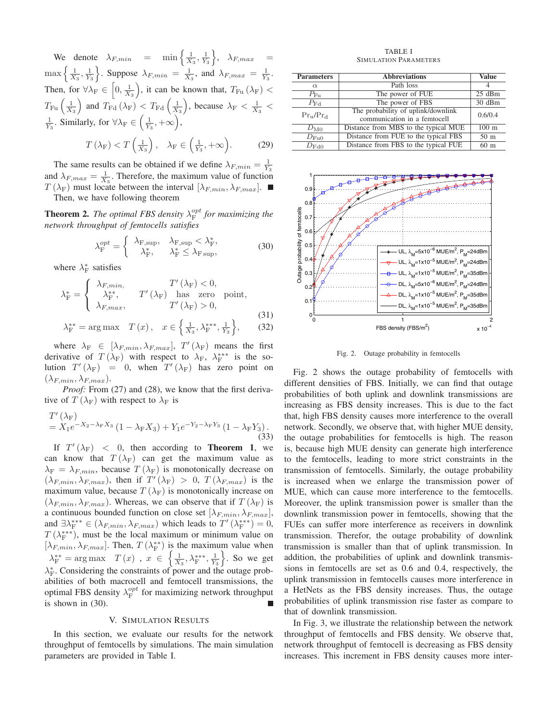We denote  $\lambda_{F,min}$  =  $\min\left\{\frac{1}{X_3}, \frac{1}{Y_3}\right\}, \lambda_{F,max}$  =  $\max\left\{\frac{1}{X_3},\frac{1}{Y_3}\right\}$ . Suppose  $\lambda_{F,min} = \frac{1}{X_3}$ , and  $\lambda_{F,max} = \frac{1}{Y_3}$ . Then, for  $\forall \lambda_F \in \left[0, \frac{1}{X_3}\right)$ , it can be known that,  $T_{Fu}(\lambda_F)$  $T_{\text{Fu}}\left(\frac{1}{X_3}\right)$  and  $T_{\text{Fd}}\left(\lambda_{\text{F}}\right) < T_{\text{Fd}}\left(\frac{1}{X_3}\right)$ , because  $\lambda_{\text{F}} < \frac{1}{X_3}$  $\frac{1}{Y_3}$ . Similarly, for  $\forall \lambda_F \in \left(\frac{1}{Y_3}, +\infty\right)$ ,

$$
T\left(\lambda_{\mathcal{F}}\right) < T\left(\frac{1}{X_3}\right), \quad \lambda_{\mathcal{F}} \in \left(\frac{1}{Y_3}, +\infty\right). \tag{29}
$$

The same results can be obtained if we define  $\lambda_{F,min} = \frac{1}{Y_3}$ and  $\lambda_{F,max} = \frac{1}{X_3}$ . Therefore, the maximum value of function  $T(\lambda_F)$  must locate between the interval  $[\lambda_{F,min}, \lambda_{F,max}]$ .

Then, we have following theorem

**Theorem 2.** *The optimal FBS density*  $\lambda_F^{opt}$  *for maximizing the network throughput of femtocells satisfies*

$$
\lambda_{\mathrm{F}}^{opt} = \begin{cases}\n\lambda_{\mathrm{F, sup}}, & \lambda_{\mathrm{F, sup}} < \lambda_{\mathrm{F}}^*, \\
\lambda_{\mathrm{F}}^*, & \lambda_{\mathrm{F}}^* \le \lambda_{\mathrm{F, sup}},\n\end{cases}
$$
\n(30)

where  $\lambda_{\rm F}^*$  satisfies

$$
\lambda_{\mathrm{F}}^{*} = \begin{cases}\n\lambda_{F,min}, & T'(\lambda_{\mathrm{F}}) < 0, \\
\lambda_{\mathrm{F}}^{*,*}, & T'(\lambda_{\mathrm{F}}) \text{ has zero point,} \\
\lambda_{F,max}, & T'(\lambda_{\mathrm{F}}) > 0,\n\end{cases}
$$
\n(31)  
\n
$$
\lambda_{\mathrm{F}}^{**} = \arg \max \quad T(x), \quad x \in \left\{ \frac{1}{X_{3}}, \lambda_{\mathrm{F}}^{***}, \frac{1}{Y_{3}} \right\},
$$
\n(32)

where  $\lambda_F \in [\lambda_{F,min}, \lambda_{F,max}]$ ,  $T'(\lambda_F)$  means the first derivative of  $T(\lambda_F)$  with respect to  $\lambda_F$ ,  $\lambda_F^{***}$  is the solution  $T'(\lambda_F) = 0$ , when  $T'(\lambda_F)$  has zero point on  $(\lambda_{F,min}, \lambda_{F,max}).$ 

*Proof:* From (27) and (28), we know that the first derivative of  $T(\lambda_F)$  with respect to  $\lambda_F$  is

$$
T'(\lambda_F) = X_1 e^{-X_2 - \lambda_F X_3} (1 - \lambda_F X_3) + Y_1 e^{-Y_2 - \lambda_F Y_3} (1 - \lambda_F Y_3).
$$
\n(33)

If  $T'(\lambda_F)$  < 0, then according to **Theorem 1**, we can know that  $T(\lambda_F)$  can get the maximum value as  $\lambda_F = \lambda_{F,min}$ , because  $T(\lambda_F)$  is monotonically decrease on  $(\lambda_{F,min}, \lambda_{F,max})$ , then if  $T'(\lambda_F) > 0$ ,  $T(\lambda_{F,max})$  is the maximum value, because  $T(\lambda_F)$  is monotonically increase on  $(\lambda_{F,min}, \lambda_{F,max})$ . Whereas, we can observe that if  $T(\lambda_F)$  is a continuous bounded function on close set  $[\lambda_{F,min}, \lambda_{F,max}]$ , and  $\exists \lambda_{\mathrm{F}}^{***} \in (\lambda_{F,min}, \lambda_{F,max})$  which leads to  $T'(\lambda_{\mathrm{F}}^{***}) = 0$ ,  $T(\lambda_F^{***})$ , must be the local maximum or minimum value on  $[\lambda_{F,min}, \lambda_{F,max}]$ . Then,  $T(\lambda_F^{**})$  is the maximum value when  $\lambda_{\text{F}}^{**} = \arg \max \ T(x)$ ,  $x \in \left\{ \frac{1}{X_3}, \lambda_{\text{F}}^{***}, \frac{1}{Y_3} \right\}$ . So we get  $\lambda_F^*$ . Considering the constraints of power and the outage probabilities of both macrocell and femtocell transmissions, the optimal FBS density  $\lambda_F^{opt}$  for maximizing network throughput is shown in (30).

## V. SIMULATION RESULTS

In this section, we evaluate our results for the network throughput of femtocells by simulations. The main simulation parameters are provided in Table I.

TABLE I SIMULATION PARAMETERS

| <b>Parameters</b> | <b>Abbreviations</b>                 | <b>Value</b>    |
|-------------------|--------------------------------------|-----------------|
| $\alpha$          | Path loss                            |                 |
| $P_{\text{Eu}}$   | The power of FUE                     | $25$ dBm        |
| $P_{\rm{Fd}}$     | The power of FBS                     | 30dBm           |
| $Pr_{u}/Pr_{d}$   | The probability of uplink/downlink   | 0.6/0.4         |
|                   | communication in a femtocell         |                 |
| $D_{\rm M0}$      | Distance from MBS to the typical MUE | $100 \text{ m}$ |
| $D_{\text{Fu0}}$  | Distance from FUE to the typical FBS | 50 <sub>m</sub> |
| $D_{\rm Fd0}$     | Distance from FBS to the typical FUE | 60 <sub>m</sub> |



Fig. 2. Outage probability in femtocells

Fig. 2 shows the outage probability of femtocells with different densities of FBS. Initially, we can find that outage probabilities of both uplink and downlink transmissions are increasing as FBS density increases. This is due to the fact that, high FBS density causes more interference to the overall network. Secondly, we observe that, with higher MUE density, the outage probabilities for femtocells is high. The reason is, because high MUE density can generate high interference to the femtocells, leading to more strict constraints in the transmission of femtocells. Similarly, the outage probability is increased when we enlarge the transmission power of MUE, which can cause more interference to the femtocells. Moreover, the uplink transmission power is smaller than the downlink transmission power in femtocells, showing that the FUEs can suffer more interference as receivers in downlink transmission. Therefor, the outage probability of downlink transmission is smaller than that of uplink transmission. In addition, the probabilities of uplink and downlink transmissions in femtocells are set as 0.6 and 0.4, respectively, the uplink transmission in femtocells causes more interference in a HetNets as the FBS density increases. Thus, the outage probabilities of uplink transmission rise faster as compare to that of downlink transmission.

In Fig. 3, we illustrate the relationship between the network throughput of femtocells and FBS density. We observe that, network throughput of femtocell is decreasing as FBS density increases. This increment in FBS density causes more inter-